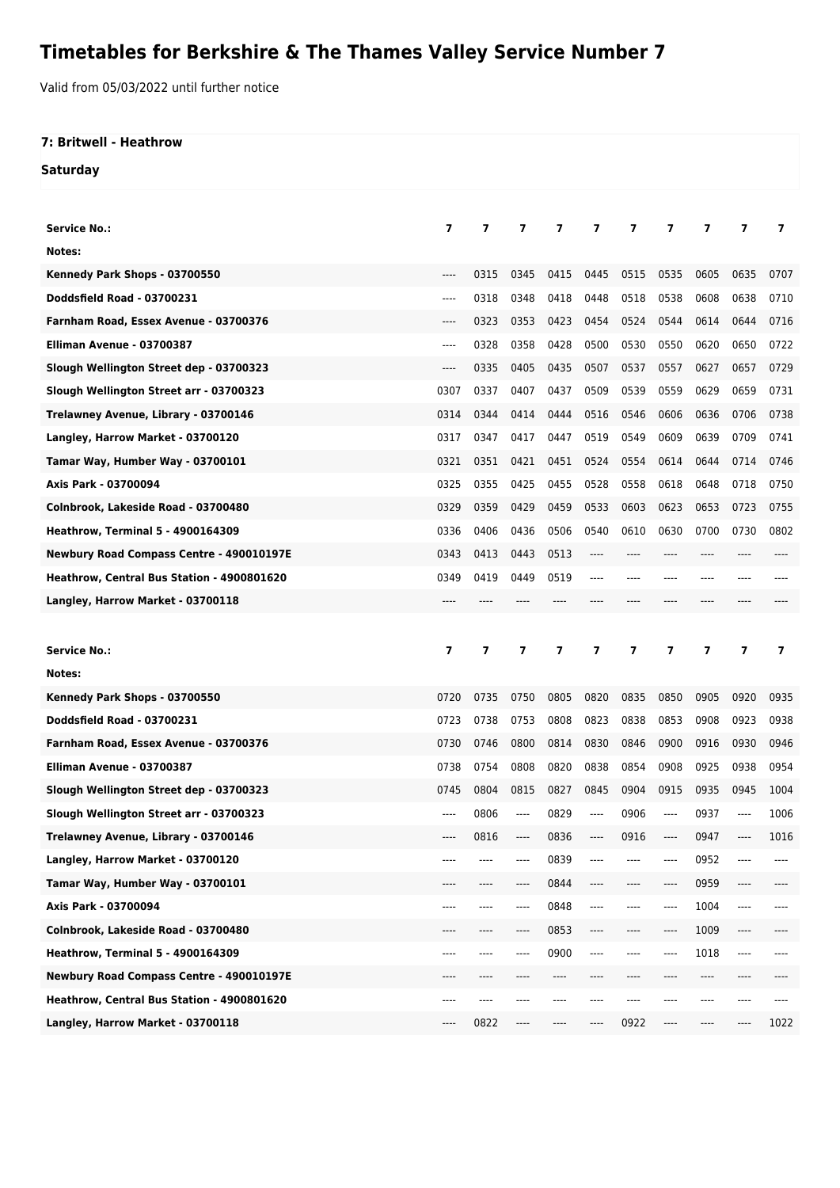## **Timetables for Berkshire & The Thames Valley Service Number 7**

Valid from 05/03/2022 until further notice

## **7: Britwell - Heathrow**

**Saturday**

| Service No.:                               | 7                        | 7              | $\overline{ }$ | 7    | 7    | 7    | 7                        | 7    | 7    | 7    |
|--------------------------------------------|--------------------------|----------------|----------------|------|------|------|--------------------------|------|------|------|
| Notes:                                     |                          |                |                |      |      |      |                          |      |      |      |
| Kennedy Park Shops - 03700550              | ----                     | 0315           | 0345           | 0415 | 0445 | 0515 | 0535                     | 0605 | 0635 | 0707 |
| <b>Doddsfield Road - 03700231</b>          | $---$                    | 0318           | 0348           | 0418 | 0448 | 0518 | 0538                     | 0608 | 0638 | 0710 |
| Farnham Road, Essex Avenue - 03700376      | ----                     | 0323           | 0353           | 0423 | 0454 | 0524 | 0544                     | 0614 | 0644 | 0716 |
| Elliman Avenue - 03700387                  | $---$                    | 0328           | 0358           | 0428 | 0500 | 0530 | 0550                     | 0620 | 0650 | 0722 |
| Slough Wellington Street dep - 03700323    | ----                     | 0335           | 0405           | 0435 | 0507 | 0537 | 0557                     | 0627 | 0657 | 0729 |
| Slough Wellington Street arr - 03700323    | 0307                     | 0337           | 0407           | 0437 | 0509 | 0539 | 0559                     | 0629 | 0659 | 0731 |
| Trelawney Avenue, Library - 03700146       | 0314                     | 0344           | 0414           | 0444 | 0516 | 0546 | 0606                     | 0636 | 0706 | 0738 |
| Langley, Harrow Market - 03700120          | 0317                     | 0347           | 0417           | 0447 | 0519 | 0549 | 0609                     | 0639 | 0709 | 0741 |
| Tamar Way, Humber Way - 03700101           | 0321                     | 0351           | 0421           | 0451 | 0524 | 0554 | 0614                     | 0644 | 0714 | 0746 |
| Axis Park - 03700094                       | 0325                     | 0355           | 0425           | 0455 | 0528 | 0558 | 0618                     | 0648 | 0718 | 0750 |
| Colnbrook, Lakeside Road - 03700480        | 0329                     | 0359           | 0429           | 0459 | 0533 | 0603 | 0623                     | 0653 | 0723 | 0755 |
| <b>Heathrow, Terminal 5 - 4900164309</b>   | 0336                     | 0406           | 0436           | 0506 | 0540 | 0610 | 0630                     | 0700 | 0730 | 0802 |
| Newbury Road Compass Centre - 490010197E   | 0343                     | 0413           | 0443           | 0513 |      |      | ----                     |      |      |      |
| Heathrow, Central Bus Station - 4900801620 | 0349                     | 0419           | 0449           | 0519 | ---- | ---- | ----                     | ---- |      |      |
| Langley, Harrow Market - 03700118          |                          |                |                |      |      |      |                          |      |      |      |
|                                            |                          |                |                |      |      |      |                          |      |      |      |
|                                            |                          |                |                |      |      |      |                          |      |      |      |
| <b>Service No.:</b>                        | $\overline{\phantom{a}}$ | $\overline{7}$ | 7              | 7    | 7    | 7    | $\overline{\phantom{a}}$ | 7    | 7    | 7    |
| Notes:                                     |                          |                |                |      |      |      |                          |      |      |      |
| Kennedy Park Shops - 03700550              | 0720                     | 0735           | 0750           | 0805 | 0820 | 0835 | 0850                     | 0905 | 0920 | 0935 |
| <b>Doddsfield Road - 03700231</b>          | 0723                     | 0738           | 0753           | 0808 | 0823 | 0838 | 0853                     | 0908 | 0923 | 0938 |
| Farnham Road, Essex Avenue - 03700376      | 0730                     | 0746           | 0800           | 0814 | 0830 | 0846 | 0900                     | 0916 | 0930 | 0946 |
| Elliman Avenue - 03700387                  | 0738                     | 0754           | 0808           | 0820 | 0838 | 0854 | 0908                     | 0925 | 0938 | 0954 |
| Slough Wellington Street dep - 03700323    | 0745                     | 0804           | 0815           | 0827 | 0845 | 0904 | 0915                     | 0935 | 0945 | 1004 |
| Slough Wellington Street arr - 03700323    |                          | 0806           |                | 0829 |      | 0906 |                          | 0937 |      | 1006 |
| Trelawney Avenue, Library - 03700146       |                          | 0816           |                | 0836 |      | 0916 | ----                     | 0947 |      | 1016 |
| Langley, Harrow Market - 03700120          | ----                     |                |                | 0839 |      |      | ----                     | 0952 |      |      |
| Tamar Way, Humber Way - 03700101           | ----                     | ----           |                | 0844 | ---- |      | ----                     | 0959 | ---- |      |
| Axis Park - 03700094                       | ----                     | ----           |                | 0848 | ---- | ---- | ----                     | 1004 | ---- |      |
| Colnbrook, Lakeside Road - 03700480        |                          |                |                | 0853 | ---- |      | ----                     | 1009 | ---- |      |
| <b>Heathrow, Terminal 5 - 4900164309</b>   | ----                     | ----           |                | 0900 | ---- |      | ----                     | 1018 | ---- |      |
| Newbury Road Compass Centre - 490010197E   | ----                     | ----           |                | ---- |      |      | ----                     | ---- | ---- |      |
| Heathrow, Central Bus Station - 4900801620 | ----                     | ----           |                | ---- |      |      | ----                     | ---- | ---- |      |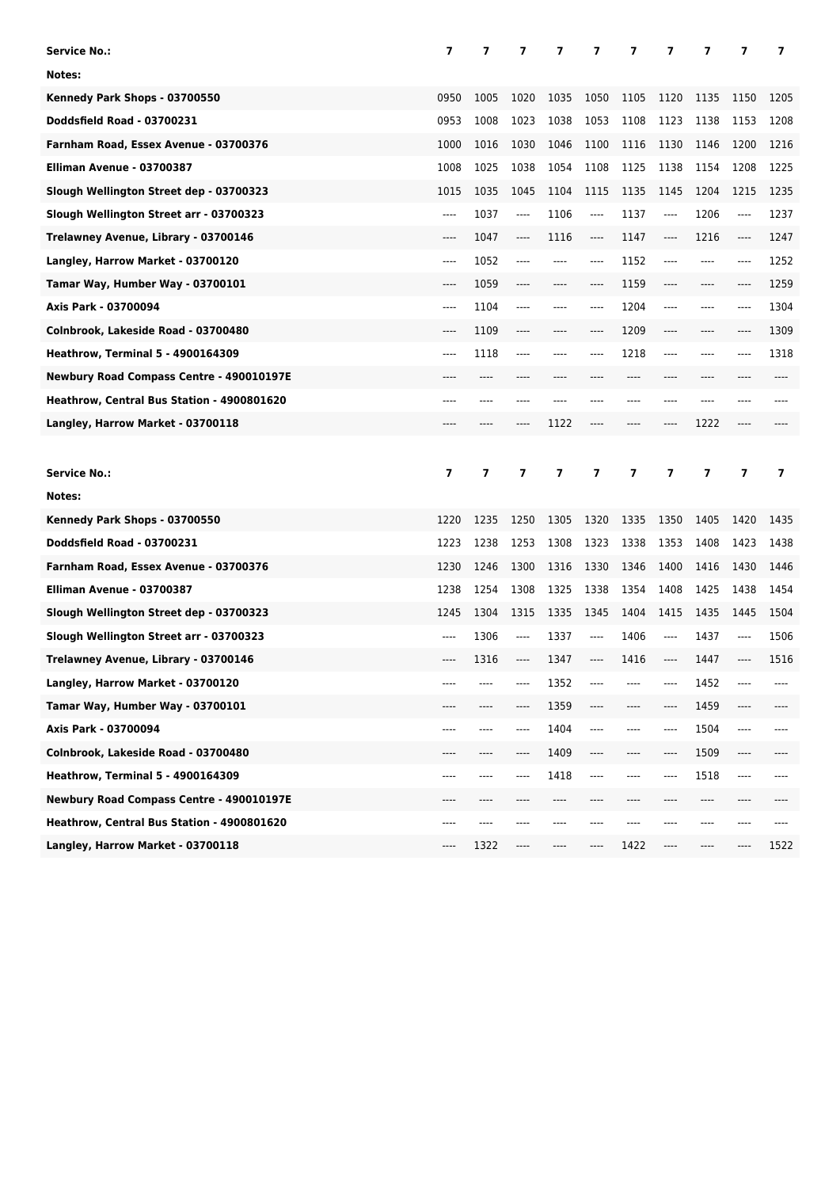| <b>Service No.:</b>                        | $\overline{7}$ | 7              | 7       | 7    | 7       | 7    | 7       | 7     | 7              | 7              |
|--------------------------------------------|----------------|----------------|---------|------|---------|------|---------|-------|----------------|----------------|
| Notes:                                     |                |                |         |      |         |      |         |       |                |                |
| Kennedy Park Shops - 03700550              | 0950           | 1005           | 1020    | 1035 | 1050    | 1105 | 1120    | 1135  | 1150           | 1205           |
| <b>Doddsfield Road - 03700231</b>          | 0953           | 1008           | 1023    | 1038 | 1053    | 1108 | 1123    | 1138  | 1153           | 1208           |
| Farnham Road, Essex Avenue - 03700376      | 1000           | 1016           | 1030    | 1046 | 1100    | 1116 | 1130    | 1146  | 1200           | 1216           |
| Elliman Avenue - 03700387                  | 1008           | 1025           | 1038    | 1054 | 1108    | 1125 | 1138    | 1154  | 1208           | 1225           |
| Slough Wellington Street dep - 03700323    | 1015           | 1035           | 1045    | 1104 | 1115    | 1135 | 1145    | 1204  | 1215           | 1235           |
| Slough Wellington Street arr - 03700323    | $---$          | 1037           | ----    | 1106 | $---$   | 1137 | $---$   | 1206  | ----           | 1237           |
| Trelawney Avenue, Library - 03700146       | $---$          | 1047           | ----    | 1116 | $-----$ | 1147 | $-----$ | 1216  | ----           | 1247           |
| Langley, Harrow Market - 03700120          | ----           | 1052           | ----    | ---- | $-----$ | 1152 | $---$   | $---$ | ----           | 1252           |
| Tamar Way, Humber Way - 03700101           | $---$          | 1059           | ----    | ---- | $---$   | 1159 | $---$   | ----  | ----           | 1259           |
| Axis Park - 03700094                       | $---$          | 1104           | ----    | ---- | $---$   | 1204 | $---$   | $---$ | ----           | 1304           |
| Colnbrook, Lakeside Road - 03700480        | $---$          | 1109           | ----    | ---- | $-----$ | 1209 | ----    | $---$ | ----           | 1309           |
| <b>Heathrow, Terminal 5 - 4900164309</b>   | ----           | 1118           | ----    | ---- | $---$   | 1218 | $---$   | $---$ | ----           | 1318           |
| Newbury Road Compass Centre - 490010197E   | ----           | ----           | ----    |      |         | ---- | ----    | $---$ | ----           | ----           |
| Heathrow, Central Bus Station - 4900801620 | ----           | ----           | ----    | ---- |         | ---- | ----    | $---$ | ----           |                |
| Langley, Harrow Market - 03700118          | ----           |                | ----    | 1122 |         | ---- | ----    | 1222  | ----           |                |
|                                            |                |                |         |      |         |      |         |       |                |                |
|                                            |                |                |         |      |         |      |         |       |                |                |
| <b>Service No.:</b>                        | $\overline{7}$ | $\overline{ }$ | 7       | 7    | 7       | 7    | 7       | 7     | $\overline{ }$ | $\overline{ }$ |
| Notes:                                     |                |                |         |      |         |      |         |       |                |                |
| Kennedy Park Shops - 03700550              | 1220           | 1235           | 1250    | 1305 | 1320    | 1335 | 1350    | 1405  | 1420           | 1435           |
| Doddsfield Road - 03700231                 | 1223           | 1238           | 1253    | 1308 | 1323    | 1338 | 1353    | 1408  | 1423           | 1438           |
| Farnham Road, Essex Avenue - 03700376      | 1230           | 1246           | 1300    | 1316 | 1330    | 1346 | 1400    | 1416  | 1430           | 1446           |
| Elliman Avenue - 03700387                  | 1238           | 1254           | 1308    | 1325 | 1338    | 1354 | 1408    | 1425  | 1438           | 1454           |
| Slough Wellington Street dep - 03700323    | 1245           | 1304           | 1315    | 1335 | 1345    | 1404 | 1415    | 1435  | 1445           | 1504           |
| Slough Wellington Street arr - 03700323    | ----           | 1306           | $-----$ | 1337 | $---$   | 1406 | $-----$ | 1437  | ----           | 1506           |
| Trelawney Avenue, Library - 03700146       | ----           | 1316           | ----    | 1347 | $---$   | 1416 | $-----$ | 1447  | ----           | 1516           |
| Langley, Harrow Market - 03700120          |                |                |         | 1352 |         |      | ----    | 1452  | ----           |                |
| Tamar Way, Humber Way - 03700101           |                |                |         | 1359 |         |      | ----    | 1459  | ----           |                |
| Axis Park - 03700094                       | ----           | ----           |         | 1404 | $---$   | ---- | ----    | 1504  | ----           | ----           |
| Colnbrook, Lakeside Road - 03700480        |                |                |         | 1409 |         |      | ----    | 1509  | ----           |                |
| <b>Heathrow, Terminal 5 - 4900164309</b>   | ----           | ----           |         | 1418 | $---$   | ---- | ----    | 1518  | ----           | ----           |
| Newbury Road Compass Centre - 490010197E   | ----           | ----           |         | ---- |         |      | ----    | ----  | ----           |                |
| Heathrow, Central Bus Station - 4900801620 | ----           | ----           | ----    | ---- |         |      | ----    | ----  | ----           | ----           |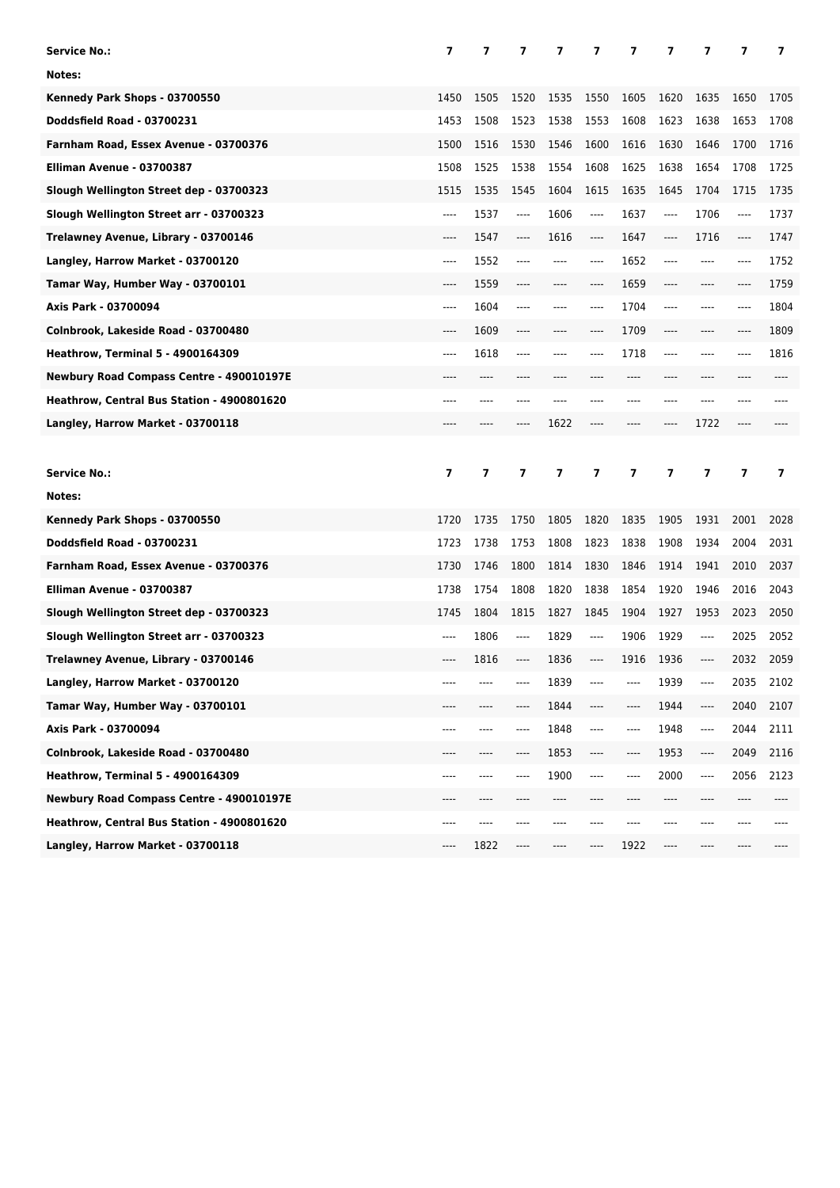| <b>Service No.:</b>                        | 7                        | 7              | $\overline{\phantom{a}}$ | 7    | 7       | 7                       | 7              | 7                             | 7              | $\overline{\phantom{a}}$ |
|--------------------------------------------|--------------------------|----------------|--------------------------|------|---------|-------------------------|----------------|-------------------------------|----------------|--------------------------|
| Notes:                                     |                          |                |                          |      |         |                         |                |                               |                |                          |
| Kennedy Park Shops - 03700550              | 1450                     | 1505           | 1520                     | 1535 | 1550    | 1605                    | 1620           | 1635                          | 1650           | 1705                     |
| Doddsfield Road - 03700231                 | 1453                     | 1508           | 1523                     | 1538 | 1553    | 1608                    | 1623           | 1638                          | 1653           | 1708                     |
| Farnham Road, Essex Avenue - 03700376      | 1500                     | 1516           | 1530                     | 1546 | 1600    | 1616                    | 1630           | 1646                          | 1700           | 1716                     |
| Elliman Avenue - 03700387                  | 1508                     | 1525           | 1538                     | 1554 | 1608    | 1625                    | 1638           | 1654                          | 1708           | 1725                     |
| Slough Wellington Street dep - 03700323    | 1515                     | 1535           | 1545                     | 1604 | 1615    | 1635                    | 1645           | 1704                          | 1715           | 1735                     |
| Slough Wellington Street arr - 03700323    | $---$                    | 1537           | ----                     | 1606 | $---$   | 1637                    | ----           | 1706                          | $---$          | 1737                     |
| Trelawney Avenue, Library - 03700146       | $---$                    | 1547           | ----                     | 1616 | $-----$ | 1647                    | ----           | 1716                          | ----           | 1747                     |
| Langley, Harrow Market - 03700120          | $---$                    | 1552           | ----                     | ---- | ----    | 1652                    | ----           | $---$                         | $---$          | 1752                     |
| Tamar Way, Humber Way - 03700101           | $---$                    | 1559           | ----                     | ---- | $---$   | 1659                    | ----           | $---$                         | $---$          | 1759                     |
| Axis Park - 03700094                       | $---$                    | 1604           | ----                     | ---- | $---$   | 1704                    | ----           | ----                          | $---$          | 1804                     |
| Colnbrook, Lakeside Road - 03700480        | $---$                    | 1609           | ----                     | ---- | $---$   | 1709                    | ----           | $---$                         | $---$          | 1809                     |
| <b>Heathrow, Terminal 5 - 4900164309</b>   | $---$                    | 1618           | ----                     | ---- | $---$   | 1718                    | ----           | $---$                         | $---$          | 1816                     |
| Newbury Road Compass Centre - 490010197E   | ----                     | $---$          |                          |      |         | $---$                   | ----           | ----                          |                |                          |
| Heathrow, Central Bus Station - 4900801620 | ----                     | $---$          | ----                     | ---- |         | ----                    | ----           | ----                          | $---$          |                          |
| Langley, Harrow Market - 03700118          | ----                     |                | ----                     | 1622 | ----    | ----                    | ----           | 1722                          | $---$          |                          |
|                                            |                          |                |                          |      |         |                         |                |                               |                |                          |
|                                            |                          |                |                          |      |         |                         |                |                               |                |                          |
| <b>Service No.:</b>                        | $\overline{\phantom{a}}$ | $\overline{ }$ | $\overline{ }$           | 7    | 7       | $\overline{\mathbf{z}}$ | $\overline{ }$ | 7                             | $\overline{7}$ | 7                        |
| Notes:                                     |                          |                |                          |      |         |                         |                |                               |                |                          |
| Kennedy Park Shops - 03700550              | 1720                     | 1735           | 1750                     | 1805 | 1820    | 1835                    | 1905           | 1931                          | 2001           | 2028                     |
| Doddsfield Road - 03700231                 | 1723                     | 1738           | 1753                     | 1808 | 1823    | 1838                    | 1908           | 1934                          | 2004           | 2031                     |
| Farnham Road, Essex Avenue - 03700376      | 1730                     | 1746           | 1800                     | 1814 | 1830    | 1846                    | 1914           | 1941                          | 2010           | 2037                     |
| Elliman Avenue - 03700387                  | 1738                     | 1754           | 1808                     | 1820 | 1838    | 1854                    | 1920           | 1946                          | 2016           | 2043                     |
| Slough Wellington Street dep - 03700323    | 1745                     | 1804           | 1815                     | 1827 | 1845    | 1904                    | 1927           | 1953                          | 2023           | 2050                     |
| Slough Wellington Street arr - 03700323    | ----                     | 1806           | ----                     | 1829 | $---$   | 1906                    | 1929           | $-----$                       | 2025           | 2052                     |
| Trelawney Avenue, Library - 03700146       | ----                     | 1816           | ----                     | 1836 | ----    | 1916                    | 1936           | $-----$                       | 2032           | 2059                     |
| Langley, Harrow Market - 03700120          |                          |                |                          | 1839 |         | ----                    | 1939           | $\hspace{1.5cm} \textbf{---}$ | 2035           | 2102                     |
| Tamar Way, Humber Way - 03700101           |                          |                |                          | 1844 |         | ----                    | 1944           | $\hspace{1.5cm} \textbf{---}$ | 2040           | 2107                     |
| Axis Park - 03700094                       | ----                     | ----           |                          | 1848 | ----    | ----                    | 1948           | $\hspace{1.5cm} \textbf{---}$ | 2044           | 2111                     |
| Colnbrook, Lakeside Road - 03700480        |                          |                |                          | 1853 | ----    | ----                    | 1953           | ----                          | 2049           | 2116                     |
| <b>Heathrow, Terminal 5 - 4900164309</b>   | ----                     | ----           |                          | 1900 | ----    | ----                    | 2000           | $\hspace{1.5cm} \textbf{---}$ | 2056           | 2123                     |
| Newbury Road Compass Centre - 490010197E   | ----                     | ----           |                          | ---- |         |                         | ----           | ----                          | ----           |                          |
| Heathrow, Central Bus Station - 4900801620 | ----                     | ----           |                          | ---- |         |                         | ----           | ----                          | ----           |                          |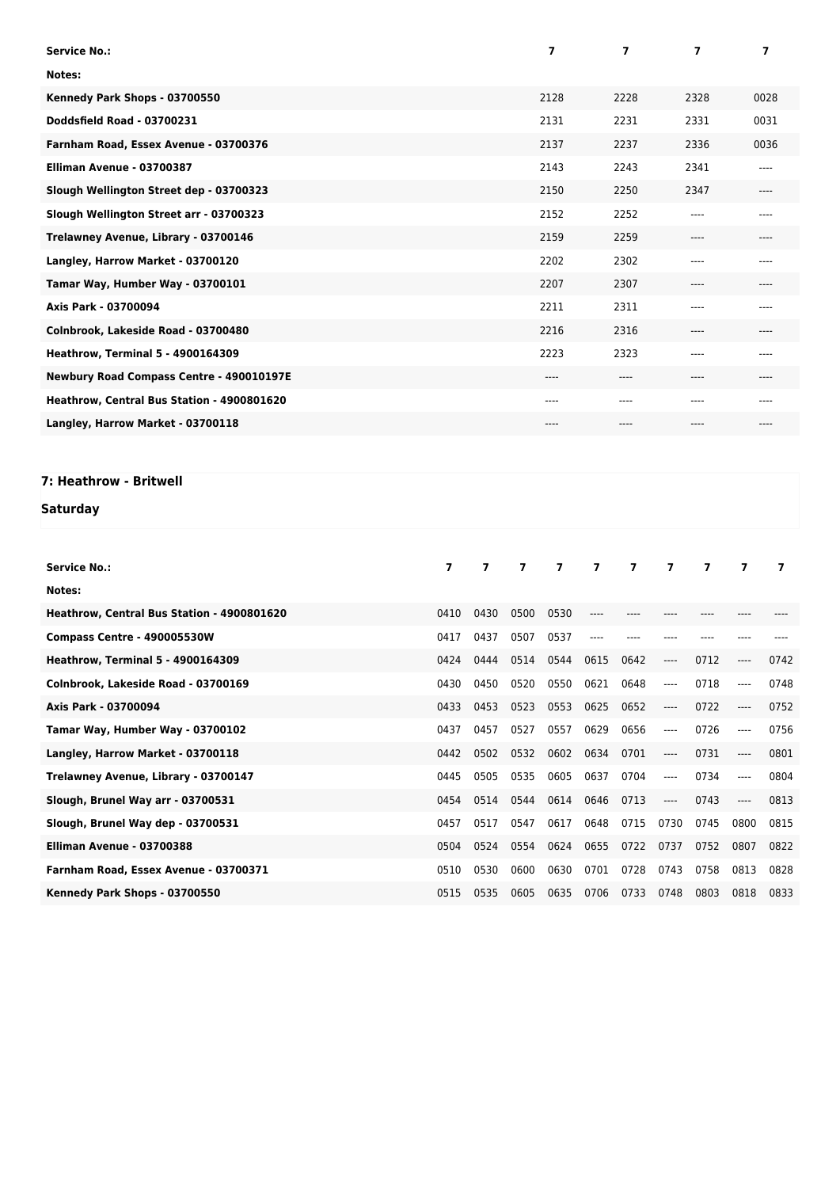| <b>Service No.:</b>                        | 7        | 7        | $\overline{ }$ | 7         |
|--------------------------------------------|----------|----------|----------------|-----------|
| Notes:                                     |          |          |                |           |
| Kennedy Park Shops - 03700550              | 2128     | 2228     | 2328           | 0028      |
| Doddsfield Road - 03700231                 | 2131     | 2231     | 2331           | 0031      |
| Farnham Road, Essex Avenue - 03700376      | 2137     | 2237     | 2336           | 0036      |
| Elliman Avenue - 03700387                  | 2143     | 2243     | 2341           | $---$     |
| Slough Wellington Street dep - 03700323    | 2150     | 2250     | 2347           | $---$     |
| Slough Wellington Street arr - 03700323    | 2152     | 2252     | ----           | $---$     |
| Trelawney Avenue, Library - 03700146       | 2159     | 2259     | $--- -$        | $----$    |
| Langley, Harrow Market - 03700120          | 2202     | 2302     | ----           | $- - - -$ |
| Tamar Way, Humber Way - 03700101           | 2207     | 2307     | ----           | $---$     |
| Axis Park - 03700094                       | 2211     | 2311     | ----           | $- - - -$ |
| Colnbrook, Lakeside Road - 03700480        | 2216     | 2316     | $--- -$        | $---$     |
| <b>Heathrow, Terminal 5 - 4900164309</b>   | 2223     | 2323     | ----           | $---$     |
| Newbury Road Compass Centre - 490010197E   | $----$   | $---$    | ----           | $---$     |
| Heathrow, Central Bus Station - 4900801620 | $-- - -$ | $-- - -$ | ----           | $---$     |
| Langley, Harrow Market - 03700118          | $----$   | ----     | ----           | $----$    |

## **7: Heathrow - Britwell**

## **Saturday**

| <b>Service No.:</b>                        | $\overline{ }$ | $\overline{ }$ | $\overline{ }$ | $\overline{7}$ | $\overline{7}$ | $\overline{7}$ | $\overline{7}$ | $\overline{ }$ | 7       | 7    |
|--------------------------------------------|----------------|----------------|----------------|----------------|----------------|----------------|----------------|----------------|---------|------|
| Notes:                                     |                |                |                |                |                |                |                |                |         |      |
| Heathrow, Central Bus Station - 4900801620 | 0410           | 0430           | 0500           | 0530           |                |                |                |                |         |      |
| Compass Centre - 490005530W                | 0417           | 0437           | 0507           | 0537           | ----           |                |                |                |         |      |
| <b>Heathrow, Terminal 5 - 4900164309</b>   | 0424           | 0444           | 0514           | 0544           | 0615           | 0642           | $---$          | 0712           | $-----$ | 0742 |
| Colnbrook, Lakeside Road - 03700169        | 0430           | 0450           | 0520           | 0550           | 0621           | 0648           | $---$          | 0718           | $---$   | 0748 |
| Axis Park - 03700094                       | 0433           | 0453           | 0523           | 0553           | 0625           | 0652           | ----           | 0722           | $-----$ | 0752 |
| Tamar Way, Humber Way - 03700102           | 0437           | 0457           | 0527           | 0557           | 0629           | 0656           | ----           | 0726           | $---$   | 0756 |
| Langley, Harrow Market - 03700118          | 0442           | 0502           | 0532           | 0602           | 0634           | 0701           | $---$          | 0731           | $-----$ | 0801 |
| Trelawney Avenue, Library - 03700147       | 0445           | 0505           | 0535           | 0605           | 0637           | 0704           | $---$          | 0734           | $---$   | 0804 |
| Slough, Brunel Way arr - 03700531          | 0454           | 0514           | 0544           | 0614           | 0646           | 0713           | ----           | 0743           |         | 0813 |
| Slough, Brunel Way dep - 03700531          | 0457           | 0517           | 0547           | 0617           | 0648           | 0715           | 0730           | 0745           | 0800    | 0815 |
| Elliman Avenue - 03700388                  | 0504           | 0524           | 0554           | 0624           | 0655           | 0722           | 0737           | 0752           | 0807    | 0822 |
| Farnham Road, Essex Avenue - 03700371      | 0510           | 0530           | 0600           | 0630           | 0701           | 0728           | 0743           | 0758           | 0813    | 0828 |
| Kennedy Park Shops - 03700550              | 0515           | 0535           | 0605           | 0635           | 0706           | 0733           | 0748           | 0803           | 0818    | 0833 |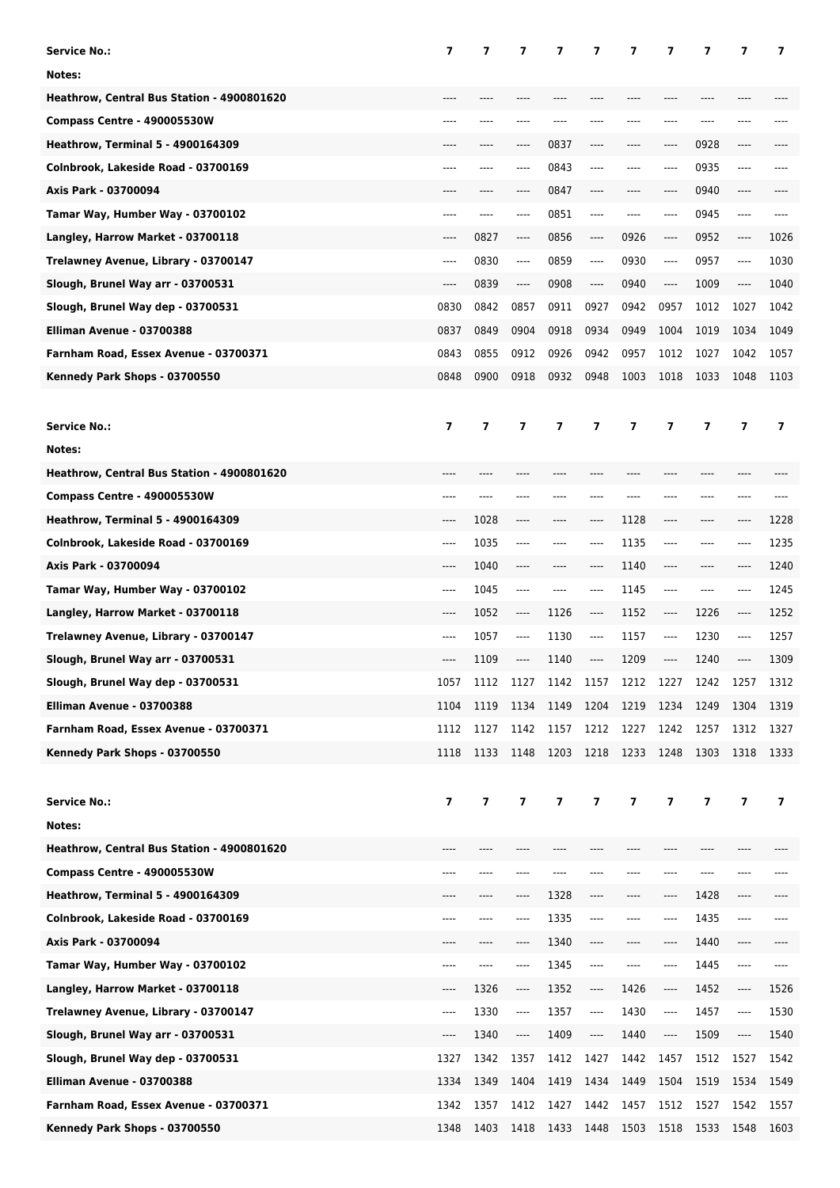| <b>Service No.:</b>                        | 7                        | 7                        | 7                             | 7    | 7                             | 7    | 7                             | 7       | 7                             | 7              |
|--------------------------------------------|--------------------------|--------------------------|-------------------------------|------|-------------------------------|------|-------------------------------|---------|-------------------------------|----------------|
| Notes:                                     |                          |                          |                               |      |                               |      |                               |         |                               |                |
| Heathrow, Central Bus Station - 4900801620 |                          |                          |                               |      |                               |      |                               |         |                               |                |
| Compass Centre - 490005530W                |                          |                          |                               |      |                               |      | ---                           |         |                               |                |
| <b>Heathrow, Terminal 5 - 4900164309</b>   | ----                     | ----                     | ----                          | 0837 | ----                          | ---- | ----                          | 0928    | ----                          |                |
| Colnbrook, Lakeside Road - 03700169        | ----                     | ----                     | ----                          | 0843 |                               | ---- | ----                          | 0935    | ----                          |                |
| Axis Park - 03700094                       | ----                     |                          | ----                          | 0847 |                               |      | ----                          | 0940    | ----                          |                |
| Tamar Way, Humber Way - 03700102           | ----                     | ----                     | ----                          | 0851 |                               | ---- | ----                          | 0945    | ----                          | ----           |
| Langley, Harrow Market - 03700118          | $---$                    | 0827                     | ----                          | 0856 | ----                          | 0926 | $---$                         | 0952    | ----                          | 1026           |
| Trelawney Avenue, Library - 03700147       | ----                     | 0830                     | ----                          | 0859 | ----                          | 0930 | ----                          | 0957    | ----                          | 1030           |
| Slough, Brunel Way arr - 03700531          | $---$                    | 0839                     | ----                          | 0908 | ----                          | 0940 | ----                          | 1009    | $\hspace{1.5cm} \textbf{---}$ | 1040           |
| Slough, Brunel Way dep - 03700531          | 0830                     | 0842                     | 0857                          | 0911 | 0927                          | 0942 | 0957                          | 1012    | 1027                          | 1042           |
| Elliman Avenue - 03700388                  | 0837                     | 0849                     | 0904                          | 0918 | 0934                          | 0949 | 1004                          | 1019    | 1034                          | 1049           |
| Farnham Road, Essex Avenue - 03700371      | 0843                     | 0855                     | 0912                          | 0926 | 0942                          | 0957 | 1012                          | 1027    | 1042                          | 1057           |
| Kennedy Park Shops - 03700550              | 0848                     | 0900                     | 0918                          | 0932 | 0948                          | 1003 | 1018                          | 1033    | 1048                          | 1103           |
|                                            |                          |                          |                               |      |                               |      |                               |         |                               |                |
| <b>Service No.:</b>                        | $\overline{\phantom{a}}$ | $\overline{\phantom{a}}$ | $\overline{\phantom{a}}$      | 7    | 7                             | 7    | $\overline{ }$                | 7       | 7                             | $\overline{ }$ |
| Notes:                                     |                          |                          |                               |      |                               |      |                               |         |                               |                |
| Heathrow, Central Bus Station - 4900801620 | ----                     | ----                     | ----                          | ---- |                               |      | ----                          | $---$   | ----                          |                |
| Compass Centre - 490005530W                | ----                     |                          |                               |      |                               |      | ----                          | ----    | ----                          |                |
| <b>Heathrow, Terminal 5 - 4900164309</b>   | ----                     | 1028                     | ----                          | ---- | ----                          | 1128 | ----                          | ----    | ----                          | 1228           |
| Colnbrook, Lakeside Road - 03700169        | $-----$                  | 1035                     | ----                          | ---- | ----                          | 1135 | $---$                         | $-----$ | ----                          | 1235           |
| Axis Park - 03700094                       | $---$                    | 1040                     | ----                          | ---- | ----                          | 1140 | $-----$                       | $---$   | ----                          | 1240           |
| Tamar Way, Humber Way - 03700102           | $---$                    | 1045                     | $---$                         | ---- | ----                          | 1145 | $---$                         | $---$   | ----                          | 1245           |
| Langley, Harrow Market - 03700118          | ----                     | 1052                     | $-----$                       | 1126 | ----                          | 1152 | $\hspace{1.5cm} \textbf{---}$ | 1226    | ----                          | 1252           |
| Trelawney Avenue, Library - 03700147       | ----                     | 1057                     | $---$                         | 1130 | ----                          | 1157 | $-----$                       | 1230    | ----                          | 1257           |
| Slough, Brunel Way arr - 03700531          | ----                     | 1109                     | ----                          | 1140 | ----                          | 1209 | ----                          | 1240    | ----                          | 1309           |
| Slough, Brunel Way dep - 03700531          | 1057                     | 1112                     | 1127                          | 1142 | 1157                          | 1212 | 1227                          | 1242    | 1257                          | 1312           |
| Elliman Avenue - 03700388                  | 1104                     | 1119                     | 1134                          | 1149 | 1204                          | 1219 | 1234                          | 1249    | 1304                          | 1319           |
| Farnham Road, Essex Avenue - 03700371      | 1112                     | 1127                     | 1142                          | 1157 | 1212                          | 1227 | 1242                          | 1257    | 1312                          | 1327           |
| Kennedy Park Shops - 03700550              | 1118                     | 1133                     | 1148 1203                     |      | 1218 1233                     |      | 1248                          | 1303    | 1318                          | 1333           |
|                                            |                          |                          |                               |      |                               |      |                               |         |                               |                |
| <b>Service No.:</b>                        | $\overline{\mathbf{z}}$  | 7                        | 7                             | 7    | 7                             | 7    | 7                             | 7       | $\overline{ }$                | 7              |
| Notes:                                     |                          |                          |                               |      |                               |      |                               |         |                               |                |
| Heathrow, Central Bus Station - 4900801620 |                          |                          |                               |      |                               |      |                               |         |                               |                |
|                                            |                          |                          |                               |      |                               |      |                               |         |                               |                |
| Compass Centre - 490005530W                | ----                     |                          |                               |      |                               |      | ---                           |         |                               |                |
| <b>Heathrow, Terminal 5 - 4900164309</b>   | ----                     | ----                     | ----                          | 1328 | ----                          | ---- | $\hspace{1.5cm} \textbf{---}$ | 1428    | ----                          |                |
| Colnbrook, Lakeside Road - 03700169        | ----                     |                          |                               | 1335 |                               |      | ----                          | 1435    | ----                          | ----           |
| Axis Park - 03700094                       |                          |                          |                               | 1340 |                               |      | ----                          | 1440    | ----                          |                |
| Tamar Way, Humber Way - 03700102           | ----                     | ----                     | ----                          | 1345 | ----                          | ---- | ----                          | 1445    | $\hspace{1.5cm} \textbf{---}$ | ----           |
| Langley, Harrow Market - 03700118          | ----                     | 1326                     | $\hspace{1.5cm} \textbf{---}$ | 1352 | ----                          | 1426 | ----                          | 1452    | ----                          | 1526           |
| Trelawney Avenue, Library - 03700147       | ----                     | 1330                     | ----                          | 1357 | $\hspace{1.5cm} \textbf{---}$ | 1430 | ----                          | 1457    | ----                          | 1530           |
| Slough, Brunel Way arr - 03700531          | ----                     | 1340                     | ----                          | 1409 | $\hspace{1.5cm} \textbf{---}$ | 1440 | ----                          | 1509    | ----                          | 1540           |
| Slough, Brunel Way dep - 03700531          | 1327                     | 1342                     | 1357                          | 1412 | 1427                          | 1442 | 1457                          | 1512    | 1527                          | 1542           |
| Elliman Avenue - 03700388                  | 1334                     | 1349                     | 1404                          | 1419 | 1434                          | 1449 | 1504                          | 1519    | 1534                          | 1549           |
| Farnham Road, Essex Avenue - 03700371      | 1342                     | 1357                     | 1412                          | 1427 | 1442                          | 1457 | 1512                          | 1527    | 1542                          | 1557           |
| Kennedy Park Shops - 03700550              | 1348                     | 1403                     | 1418                          | 1433 | 1448 1503                     |      | 1518                          | 1533    | 1548                          | 1603           |